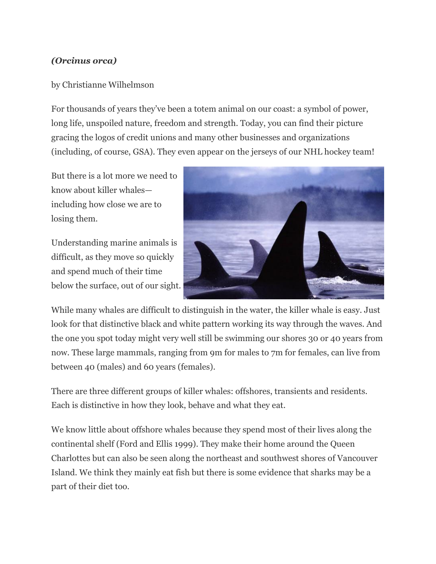## *(Orcinus orca)*

## by Christianne Wilhelmson

For thousands of years they've been a totem animal on our coast: a symbol of power, long life, unspoiled nature, freedom and strength. Today, you can find their picture gracing the logos of credit unions and many other businesses and organizations (including, of course, GSA). They even appear on the jerseys of our NHL hockey team!

But there is a lot more we need to know about killer whales including how close we are to losing them.

Understanding marine animals is difficult, as they move so quickly and spend much of their time below the surface, out of our sight.



While many whales are difficult to distinguish in the water, the killer whale is easy. Just look for that distinctive black and white pattern working its way through the waves. And the one you spot today might very well still be swimming our shores 30 or 40 years from now. These large mammals, ranging from 9m for males to 7m for females, can live from between 40 (males) and 60 years (females).

There are three different groups of killer whales: offshores, transients and residents. Each is distinctive in how they look, behave and what they eat.

We know little about offshore whales because they spend most of their lives along the continental shelf (Ford and Ellis 1999). They make their home around the Queen Charlottes but can also be seen along the northeast and southwest shores of Vancouver Island. We think they mainly eat fish but there is some evidence that sharks may be a part of their diet too.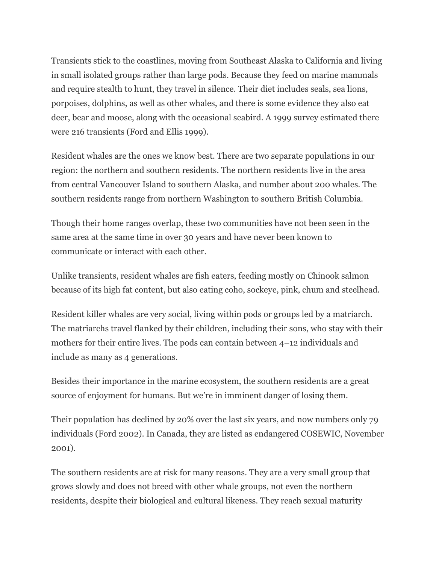Transients stick to the coastlines, moving from Southeast Alaska to California and living in small isolated groups rather than large pods. Because they feed on marine mammals and require stealth to hunt, they travel in silence. Their diet includes seals, sea lions, porpoises, dolphins, as well as other whales, and there is some evidence they also eat deer, bear and moose, along with the occasional seabird. A 1999 survey estimated there were 216 transients (Ford and Ellis 1999).

Resident whales are the ones we know best. There are two separate populations in our region: the northern and southern residents. The northern residents live in the area from central Vancouver Island to southern Alaska, and number about 200 whales. The southern residents range from northern Washington to southern British Columbia.

Though their home ranges overlap, these two communities have not been seen in the same area at the same time in over 30 years and have never been known to communicate or interact with each other.

Unlike transients, resident whales are fish eaters, feeding mostly on Chinook salmon because of its high fat content, but also eating coho, sockeye, pink, chum and steelhead.

Resident killer whales are very social, living within pods or groups led by a matriarch. The matriarchs travel flanked by their children, including their sons, who stay with their mothers for their entire lives. The pods can contain between 4–12 individuals and include as many as 4 generations.

Besides their importance in the marine ecosystem, the southern residents are a great source of enjoyment for humans. But we're in imminent danger of losing them.

Their population has declined by 20% over the last six years, and now numbers only 79 individuals (Ford 2002). In Canada, they are listed as endangered COSEWIC, November 2001).

The southern residents are at risk for many reasons. They are a very small group that grows slowly and does not breed with other whale groups, not even the northern residents, despite their biological and cultural likeness. They reach sexual maturity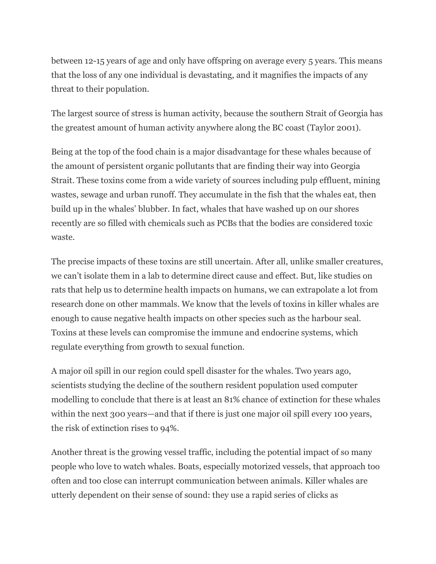between 12-15 years of age and only have offspring on average every 5 years. This means that the loss of any one individual is devastating, and it magnifies the impacts of any threat to their population.

The largest source of stress is human activity, because the southern Strait of Georgia has the greatest amount of human activity anywhere along the BC coast (Taylor 2001).

Being at the top of the food chain is a major disadvantage for these whales because of the amount of persistent organic pollutants that are finding their way into Georgia Strait. These toxins come from a wide variety of sources including pulp effluent, mining wastes, sewage and urban runoff. They accumulate in the fish that the whales eat, then build up in the whales' blubber. In fact, whales that have washed up on our shores recently are so filled with chemicals such as PCBs that the bodies are considered toxic waste.

The precise impacts of these toxins are still uncertain. After all, unlike smaller creatures, we can't isolate them in a lab to determine direct cause and effect. But, like studies on rats that help us to determine health impacts on humans, we can extrapolate a lot from research done on other mammals. We know that the levels of toxins in killer whales are enough to cause negative health impacts on other species such as the harbour seal. Toxins at these levels can compromise the immune and endocrine systems, which regulate everything from growth to sexual function.

A major oil spill in our region could spell disaster for the whales. Two years ago, scientists studying the decline of the southern resident population used computer modelling to conclude that there is at least an 81% chance of extinction for these whales within the next 300 years—and that if there is just one major oil spill every 100 years, the risk of extinction rises to 94%.

Another threat is the growing vessel traffic, including the potential impact of so many people who love to watch whales. Boats, especially motorized vessels, that approach too often and too close can interrupt communication between animals. Killer whales are utterly dependent on their sense of sound: they use a rapid series of clicks as